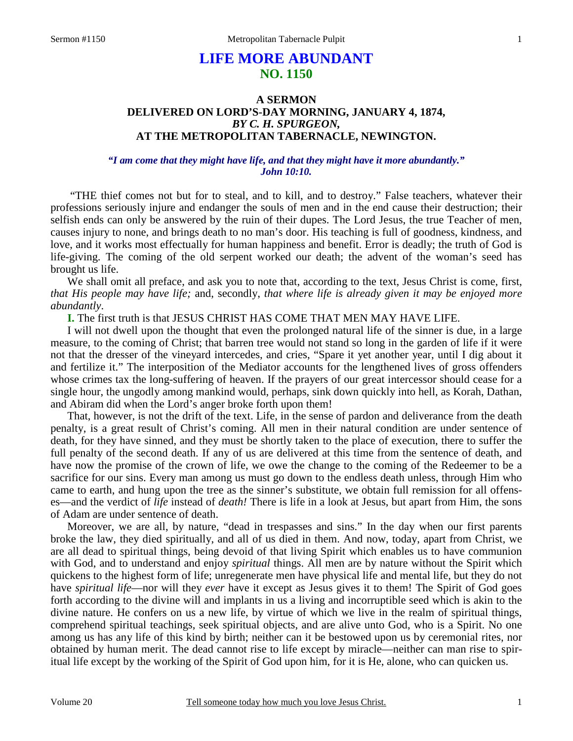#### 1

# **LIFE MORE ABUNDANT NO. 1150**

# **A SERMON DELIVERED ON LORD'S-DAY MORNING, JANUARY 4, 1874,**  *BY C. H. SPURGEON,*  **AT THE METROPOLITAN TABERNACLE, NEWINGTON.**

*"I am come that they might have life, and that they might have it more abundantly." John 10:10.* 

"THE thief comes not but for to steal, and to kill, and to destroy." False teachers, whatever their professions seriously injure and endanger the souls of men and in the end cause their destruction; their selfish ends can only be answered by the ruin of their dupes. The Lord Jesus, the true Teacher of men, causes injury to none, and brings death to no man's door. His teaching is full of goodness, kindness, and love, and it works most effectually for human happiness and benefit. Error is deadly; the truth of God is life-giving. The coming of the old serpent worked our death; the advent of the woman's seed has brought us life.

We shall omit all preface, and ask you to note that, according to the text, Jesus Christ is come, first, *that His people may have life;* and, secondly, *that where life is already given it may be enjoyed more abundantly*.

**I.** The first truth is that JESUS CHRIST HAS COME THAT MEN MAY HAVE LIFE.

I will not dwell upon the thought that even the prolonged natural life of the sinner is due, in a large measure, to the coming of Christ; that barren tree would not stand so long in the garden of life if it were not that the dresser of the vineyard intercedes, and cries, "Spare it yet another year, until I dig about it and fertilize it." The interposition of the Mediator accounts for the lengthened lives of gross offenders whose crimes tax the long-suffering of heaven. If the prayers of our great intercessor should cease for a single hour, the ungodly among mankind would, perhaps, sink down quickly into hell, as Korah, Dathan, and Abiram did when the Lord's anger broke forth upon them!

That, however, is not the drift of the text. Life, in the sense of pardon and deliverance from the death penalty, is a great result of Christ's coming. All men in their natural condition are under sentence of death, for they have sinned, and they must be shortly taken to the place of execution, there to suffer the full penalty of the second death. If any of us are delivered at this time from the sentence of death, and have now the promise of the crown of life, we owe the change to the coming of the Redeemer to be a sacrifice for our sins. Every man among us must go down to the endless death unless, through Him who came to earth, and hung upon the tree as the sinner's substitute, we obtain full remission for all offenses—and the verdict of *life* instead of *death!* There is life in a look at Jesus, but apart from Him, the sons of Adam are under sentence of death.

Moreover, we are all, by nature, "dead in trespasses and sins." In the day when our first parents broke the law, they died spiritually, and all of us died in them. And now, today, apart from Christ, we are all dead to spiritual things, being devoid of that living Spirit which enables us to have communion with God, and to understand and enjoy *spiritual* things. All men are by nature without the Spirit which quickens to the highest form of life; unregenerate men have physical life and mental life, but they do not have *spiritual life*—nor will they *ever* have it except as Jesus gives it to them! The Spirit of God goes forth according to the divine will and implants in us a living and incorruptible seed which is akin to the divine nature. He confers on us a new life, by virtue of which we live in the realm of spiritual things, comprehend spiritual teachings, seek spiritual objects, and are alive unto God, who is a Spirit. No one among us has any life of this kind by birth; neither can it be bestowed upon us by ceremonial rites, nor obtained by human merit. The dead cannot rise to life except by miracle—neither can man rise to spiritual life except by the working of the Spirit of God upon him, for it is He, alone, who can quicken us.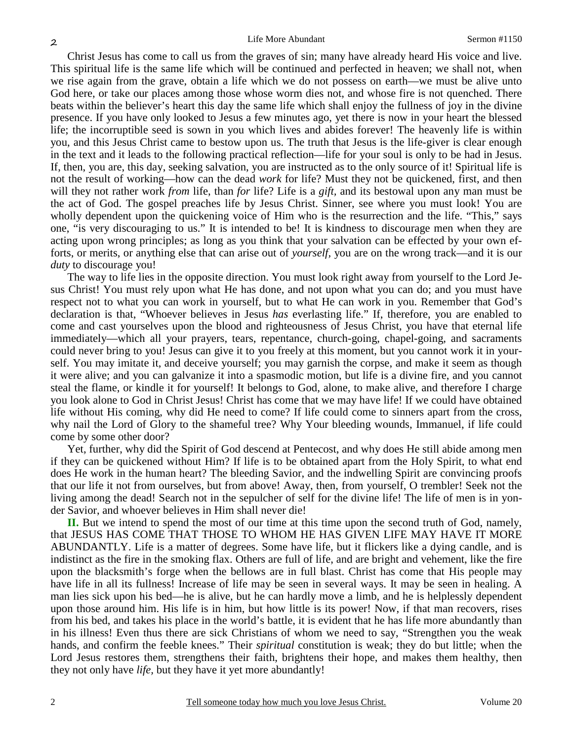Christ Jesus has come to call us from the graves of sin; many have already heard His voice and live. This spiritual life is the same life which will be continued and perfected in heaven; we shall not, when we rise again from the grave, obtain a life which we do not possess on earth—we must be alive unto God here, or take our places among those whose worm dies not, and whose fire is not quenched. There beats within the believer's heart this day the same life which shall enjoy the fullness of joy in the divine presence. If you have only looked to Jesus a few minutes ago, yet there is now in your heart the blessed life; the incorruptible seed is sown in you which lives and abides forever! The heavenly life is within you, and this Jesus Christ came to bestow upon us. The truth that Jesus is the life-giver is clear enough in the text and it leads to the following practical reflection—life for your soul is only to be had in Jesus. If, then, you are, this day, seeking salvation, you are instructed as to the only source of it! Spiritual life is not the result of working—how can the dead *work* for life? Must they not be quickened, first, and then will they not rather work *from* life, than *for* life? Life is a *gift,* and its bestowal upon any man must be the act of God. The gospel preaches life by Jesus Christ. Sinner, see where you must look! You are wholly dependent upon the quickening voice of Him who is the resurrection and the life. "This," says one, "is very discouraging to us." It is intended to be! It is kindness to discourage men when they are acting upon wrong principles; as long as you think that your salvation can be effected by your own efforts, or merits, or anything else that can arise out of *yourself,* you are on the wrong track—and it is our *duty* to discourage you!

The way to life lies in the opposite direction. You must look right away from yourself to the Lord Jesus Christ! You must rely upon what He has done, and not upon what you can do; and you must have respect not to what you can work in yourself, but to what He can work in you. Remember that God's declaration is that, "Whoever believes in Jesus *has* everlasting life." If, therefore, you are enabled to come and cast yourselves upon the blood and righteousness of Jesus Christ, you have that eternal life immediately—which all your prayers, tears, repentance, church-going, chapel-going, and sacraments could never bring to you! Jesus can give it to you freely at this moment, but you cannot work it in yourself. You may imitate it, and deceive yourself; you may garnish the corpse, and make it seem as though it were alive; and you can galvanize it into a spasmodic motion, but life is a divine fire, and you cannot steal the flame, or kindle it for yourself! It belongs to God, alone, to make alive, and therefore I charge you look alone to God in Christ Jesus! Christ has come that we may have life! If we could have obtained life without His coming, why did He need to come? If life could come to sinners apart from the cross, why nail the Lord of Glory to the shameful tree? Why Your bleeding wounds, Immanuel, if life could come by some other door?

Yet, further, why did the Spirit of God descend at Pentecost, and why does He still abide among men if they can be quickened without Him? If life is to be obtained apart from the Holy Spirit, to what end does He work in the human heart? The bleeding Savior, and the indwelling Spirit are convincing proofs that our life it not from ourselves, but from above! Away, then, from yourself, O trembler! Seek not the living among the dead! Search not in the sepulcher of self for the divine life! The life of men is in yonder Savior, and whoever believes in Him shall never die!

**II.** But we intend to spend the most of our time at this time upon the second truth of God, namely, that JESUS HAS COME THAT THOSE TO WHOM HE HAS GIVEN LIFE MAY HAVE IT MORE ABUNDANTLY. Life is a matter of degrees. Some have life, but it flickers like a dying candle, and is indistinct as the fire in the smoking flax. Others are full of life, and are bright and vehement, like the fire upon the blacksmith's forge when the bellows are in full blast. Christ has come that His people may have life in all its fullness! Increase of life may be seen in several ways. It may be seen in healing. A man lies sick upon his bed—he is alive, but he can hardly move a limb, and he is helplessly dependent upon those around him. His life is in him, but how little is its power! Now, if that man recovers, rises from his bed, and takes his place in the world's battle, it is evident that he has life more abundantly than in his illness! Even thus there are sick Christians of whom we need to say, "Strengthen you the weak hands, and confirm the feeble knees." Their *spiritual* constitution is weak; they do but little; when the Lord Jesus restores them, strengthens their faith, brightens their hope, and makes them healthy, then they not only have *life,* but they have it yet more abundantly!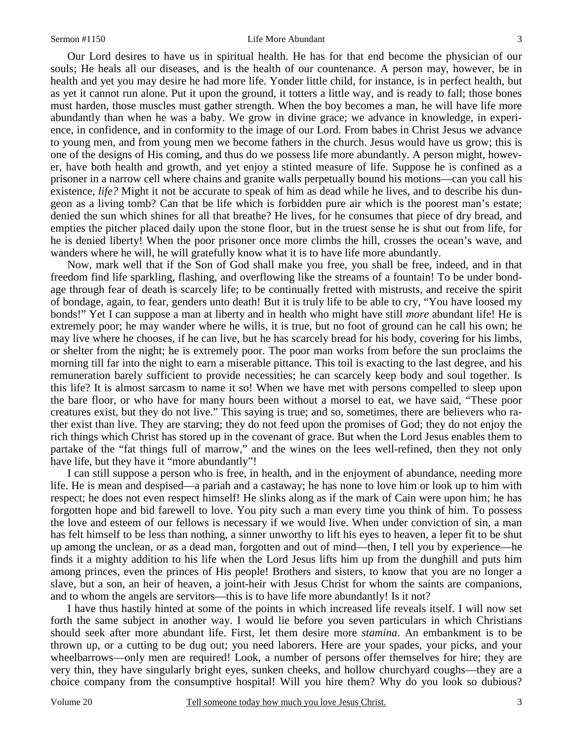Our Lord desires to have us in spiritual health. He has for that end become the physician of our souls; He heals all our diseases, and is the health of our countenance. A person may, however, be in health and yet you may desire he had more life. Yonder little child, for instance, is in perfect health, but as yet it cannot run alone. Put it upon the ground, it totters a little way, and is ready to fall; those bones must harden, those muscles must gather strength. When the boy becomes a man, he will have life more abundantly than when he was a baby. We grow in divine grace; we advance in knowledge, in experience, in confidence, and in conformity to the image of our Lord. From babes in Christ Jesus we advance to young men, and from young men we become fathers in the church. Jesus would have us grow; this is one of the designs of His coming, and thus do we possess life more abundantly. A person might, however, have both health and growth, and yet enjoy a stinted measure of life. Suppose he is confined as a prisoner in a narrow cell where chains and granite walls perpetually bound his motions—can you call his existence, *life?* Might it not be accurate to speak of him as dead while he lives, and to describe his dungeon as a living tomb? Can that be life which is forbidden pure air which is the poorest man's estate; denied the sun which shines for all that breathe? He lives, for he consumes that piece of dry bread, and empties the pitcher placed daily upon the stone floor, but in the truest sense he is shut out from life, for he is denied liberty! When the poor prisoner once more climbs the hill, crosses the ocean's wave, and wanders where he will, he will gratefully know what it is to have life more abundantly.

Now, mark well that if the Son of God shall make you free, you shall be free, indeed, and in that freedom find life sparkling, flashing, and overflowing like the streams of a fountain! To be under bondage through fear of death is scarcely life; to be continually fretted with mistrusts, and receive the spirit of bondage, again, to fear, genders unto death! But it is truly life to be able to cry, "You have loosed my bonds!" Yet I can suppose a man at liberty and in health who might have still *more* abundant life! He is extremely poor; he may wander where he wills, it is true, but no foot of ground can he call his own; he may live where he chooses, if he can live, but he has scarcely bread for his body, covering for his limbs, or shelter from the night; he is extremely poor. The poor man works from before the sun proclaims the morning till far into the night to earn a miserable pittance. This toil is exacting to the last degree, and his remuneration barely sufficient to provide necessities; he can scarcely keep body and soul together. Is this life? It is almost sarcasm to name it so! When we have met with persons compelled to sleep upon the bare floor, or who have for many hours been without a morsel to eat, we have said, "These poor creatures exist, but they do not live." This saying is true; and so, sometimes, there are believers who rather exist than live. They are starving; they do not feed upon the promises of God; they do not enjoy the rich things which Christ has stored up in the covenant of grace. But when the Lord Jesus enables them to partake of the "fat things full of marrow," and the wines on the lees well-refined, then they not only have life, but they have it "more abundantly"!

I can still suppose a person who is free, in health, and in the enjoyment of abundance, needing more life. He is mean and despised—a pariah and a castaway; he has none to love him or look up to him with respect; he does not even respect himself! He slinks along as if the mark of Cain were upon him; he has forgotten hope and bid farewell to love. You pity such a man every time you think of him. To possess the love and esteem of our fellows is necessary if we would live. When under conviction of sin, a man has felt himself to be less than nothing, a sinner unworthy to lift his eyes to heaven, a leper fit to be shut up among the unclean, or as a dead man, forgotten and out of mind—then, I tell you by experience—he finds it a mighty addition to his life when the Lord Jesus lifts him up from the dunghill and puts him among princes, even the princes of His people! Brothers and sisters, to know that you are no longer a slave, but a son, an heir of heaven, a joint-heir with Jesus Christ for whom the saints are companions, and to whom the angels are servitors—this is to have life more abundantly! Is it not?

I have thus hastily hinted at some of the points in which increased life reveals itself. I will now set forth the same subject in another way. I would lie before you seven particulars in which Christians should seek after more abundant life. First, let them desire more *stamina*. An embankment is to be thrown up, or a cutting to be dug out; you need laborers. Here are your spades, your picks, and your wheelbarrows—only men are required! Look, a number of persons offer themselves for hire; they are very thin, they have singularly bright eyes, sunken cheeks, and hollow churchyard coughs—they are a choice company from the consumptive hospital! Will you hire them? Why do you look so dubious?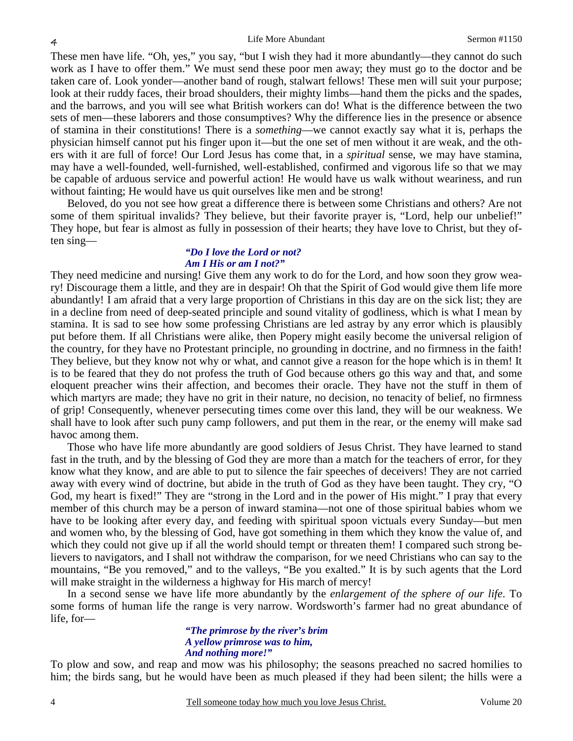These men have life. "Oh, yes," you say, "but I wish they had it more abundantly—they cannot do such work as I have to offer them." We must send these poor men away; they must go to the doctor and be taken care of. Look yonder—another band of rough, stalwart fellows! These men will suit your purpose; look at their ruddy faces, their broad shoulders, their mighty limbs—hand them the picks and the spades, and the barrows, and you will see what British workers can do! What is the difference between the two sets of men—these laborers and those consumptives? Why the difference lies in the presence or absence of stamina in their constitutions! There is a *something*—we cannot exactly say what it is, perhaps the physician himself cannot put his finger upon it—but the one set of men without it are weak, and the others with it are full of force! Our Lord Jesus has come that, in a *spiritual* sense, we may have stamina, may have a well-founded, well-furnished, well-established, confirmed and vigorous life so that we may be capable of arduous service and powerful action! He would have us walk without weariness, and run without fainting; He would have us quit ourselves like men and be strong!

Beloved, do you not see how great a difference there is between some Christians and others? Are not some of them spiritual invalids? They believe, but their favorite prayer is, "Lord, help our unbelief!" They hope, but fear is almost as fully in possession of their hearts; they have love to Christ, but they often sing—

#### *"Do I love the Lord or not? Am I His or am I not?"*

They need medicine and nursing! Give them any work to do for the Lord, and how soon they grow weary! Discourage them a little, and they are in despair! Oh that the Spirit of God would give them life more abundantly! I am afraid that a very large proportion of Christians in this day are on the sick list; they are in a decline from need of deep-seated principle and sound vitality of godliness, which is what I mean by stamina. It is sad to see how some professing Christians are led astray by any error which is plausibly put before them. If all Christians were alike, then Popery might easily become the universal religion of the country, for they have no Protestant principle, no grounding in doctrine, and no firmness in the faith! They believe, but they know not why or what, and cannot give a reason for the hope which is in them! It is to be feared that they do not profess the truth of God because others go this way and that, and some eloquent preacher wins their affection, and becomes their oracle. They have not the stuff in them of which martyrs are made; they have no grit in their nature, no decision, no tenacity of belief, no firmness of grip! Consequently, whenever persecuting times come over this land, they will be our weakness. We shall have to look after such puny camp followers, and put them in the rear, or the enemy will make sad havoc among them.

 Those who have life more abundantly are good soldiers of Jesus Christ. They have learned to stand fast in the truth, and by the blessing of God they are more than a match for the teachers of error, for they know what they know, and are able to put to silence the fair speeches of deceivers! They are not carried away with every wind of doctrine, but abide in the truth of God as they have been taught. They cry, "O God, my heart is fixed!" They are "strong in the Lord and in the power of His might." I pray that every member of this church may be a person of inward stamina—not one of those spiritual babies whom we have to be looking after every day, and feeding with spiritual spoon victuals every Sunday—but men and women who, by the blessing of God, have got something in them which they know the value of, and which they could not give up if all the world should tempt or threaten them! I compared such strong believers to navigators, and I shall not withdraw the comparison, for we need Christians who can say to the mountains, "Be you removed," and to the valleys, "Be you exalted." It is by such agents that the Lord will make straight in the wilderness a highway for His march of mercy!

In a second sense we have life more abundantly by the *enlargement of the sphere of our life*. To some forms of human life the range is very narrow. Wordsworth's farmer had no great abundance of life, for—

#### *"The primrose by the river's brim A yellow primrose was to him, And nothing more!"*

To plow and sow, and reap and mow was his philosophy; the seasons preached no sacred homilies to him; the birds sang, but he would have been as much pleased if they had been silent; the hills were a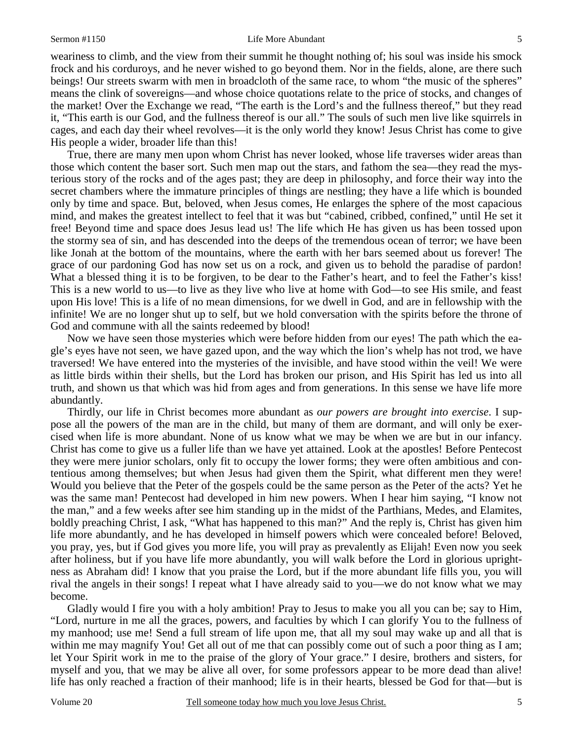weariness to climb, and the view from their summit he thought nothing of; his soul was inside his smock frock and his corduroys, and he never wished to go beyond them. Nor in the fields, alone, are there such beings! Our streets swarm with men in broadcloth of the same race, to whom "the music of the spheres" means the clink of sovereigns—and whose choice quotations relate to the price of stocks, and changes of the market! Over the Exchange we read, "The earth is the Lord's and the fullness thereof," but they read it, "This earth is our God, and the fullness thereof is our all." The souls of such men live like squirrels in cages, and each day their wheel revolves—it is the only world they know! Jesus Christ has come to give His people a wider, broader life than this!

True, there are many men upon whom Christ has never looked, whose life traverses wider areas than those which content the baser sort. Such men map out the stars, and fathom the sea—they read the mysterious story of the rocks and of the ages past; they are deep in philosophy, and force their way into the secret chambers where the immature principles of things are nestling; they have a life which is bounded only by time and space. But, beloved, when Jesus comes, He enlarges the sphere of the most capacious mind, and makes the greatest intellect to feel that it was but "cabined, cribbed, confined," until He set it free! Beyond time and space does Jesus lead us! The life which He has given us has been tossed upon the stormy sea of sin, and has descended into the deeps of the tremendous ocean of terror; we have been like Jonah at the bottom of the mountains, where the earth with her bars seemed about us forever! The grace of our pardoning God has now set us on a rock, and given us to behold the paradise of pardon! What a blessed thing it is to be forgiven, to be dear to the Father's heart, and to feel the Father's kiss! This is a new world to us—to live as they live who live at home with God—to see His smile, and feast upon His love! This is a life of no mean dimensions, for we dwell in God, and are in fellowship with the infinite! We are no longer shut up to self, but we hold conversation with the spirits before the throne of God and commune with all the saints redeemed by blood!

Now we have seen those mysteries which were before hidden from our eyes! The path which the eagle's eyes have not seen, we have gazed upon, and the way which the lion's whelp has not trod, we have traversed! We have entered into the mysteries of the invisible, and have stood within the veil! We were as little birds within their shells, but the Lord has broken our prison, and His Spirit has led us into all truth, and shown us that which was hid from ages and from generations. In this sense we have life more abundantly.

Thirdly, our life in Christ becomes more abundant as *our powers are brought into exercise*. I suppose all the powers of the man are in the child, but many of them are dormant, and will only be exercised when life is more abundant. None of us know what we may be when we are but in our infancy. Christ has come to give us a fuller life than we have yet attained. Look at the apostles! Before Pentecost they were mere junior scholars, only fit to occupy the lower forms; they were often ambitious and contentious among themselves; but when Jesus had given them the Spirit, what different men they were! Would you believe that the Peter of the gospels could be the same person as the Peter of the acts? Yet he was the same man! Pentecost had developed in him new powers. When I hear him saying, "I know not the man," and a few weeks after see him standing up in the midst of the Parthians, Medes, and Elamites, boldly preaching Christ, I ask, "What has happened to this man?" And the reply is, Christ has given him life more abundantly, and he has developed in himself powers which were concealed before! Beloved, you pray, yes, but if God gives you more life, you will pray as prevalently as Elijah! Even now you seek after holiness, but if you have life more abundantly, you will walk before the Lord in glorious uprightness as Abraham did! I know that you praise the Lord, but if the more abundant life fills you, you will rival the angels in their songs! I repeat what I have already said to you—we do not know what we may become.

Gladly would I fire you with a holy ambition! Pray to Jesus to make you all you can be; say to Him, "Lord, nurture in me all the graces, powers, and faculties by which I can glorify You to the fullness of my manhood; use me! Send a full stream of life upon me, that all my soul may wake up and all that is within me may magnify You! Get all out of me that can possibly come out of such a poor thing as I am; let Your Spirit work in me to the praise of the glory of Your grace." I desire, brothers and sisters, for myself and you, that we may be alive all over, for some professors appear to be more dead than alive! life has only reached a fraction of their manhood; life is in their hearts, blessed be God for that—but is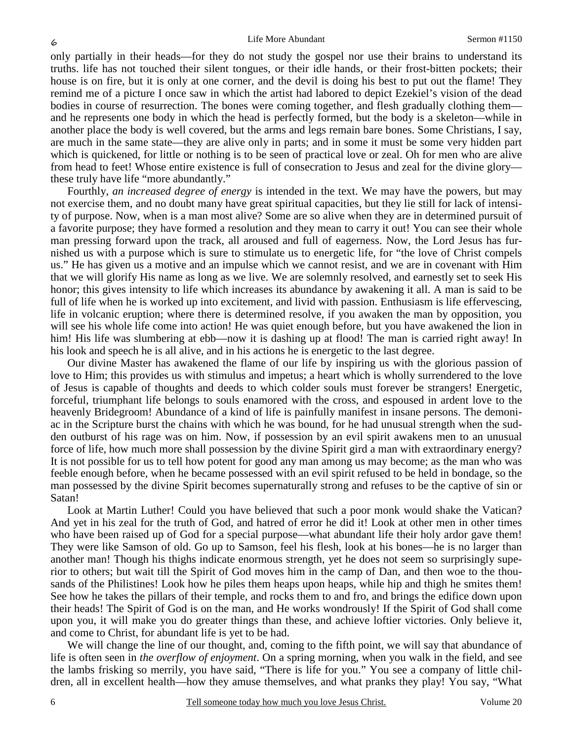only partially in their heads—for they do not study the gospel nor use their brains to understand its truths. life has not touched their silent tongues, or their idle hands, or their frost-bitten pockets; their house is on fire, but it is only at one corner, and the devil is doing his best to put out the flame! They remind me of a picture I once saw in which the artist had labored to depict Ezekiel's vision of the dead bodies in course of resurrection. The bones were coming together, and flesh gradually clothing them and he represents one body in which the head is perfectly formed, but the body is a skeleton—while in another place the body is well covered, but the arms and legs remain bare bones. Some Christians, I say, are much in the same state—they are alive only in parts; and in some it must be some very hidden part which is quickened, for little or nothing is to be seen of practical love or zeal. Oh for men who are alive from head to feet! Whose entire existence is full of consecration to Jesus and zeal for the divine glory these truly have life "more abundantly."

Fourthly, *an increased degree of energy* is intended in the text. We may have the powers, but may not exercise them, and no doubt many have great spiritual capacities, but they lie still for lack of intensity of purpose. Now, when is a man most alive? Some are so alive when they are in determined pursuit of a favorite purpose; they have formed a resolution and they mean to carry it out! You can see their whole man pressing forward upon the track, all aroused and full of eagerness. Now, the Lord Jesus has furnished us with a purpose which is sure to stimulate us to energetic life, for "the love of Christ compels us." He has given us a motive and an impulse which we cannot resist, and we are in covenant with Him that we will glorify His name as long as we live. We are solemnly resolved, and earnestly set to seek His honor; this gives intensity to life which increases its abundance by awakening it all. A man is said to be full of life when he is worked up into excitement, and livid with passion. Enthusiasm is life effervescing, life in volcanic eruption; where there is determined resolve, if you awaken the man by opposition, you will see his whole life come into action! He was quiet enough before, but you have awakened the lion in him! His life was slumbering at ebb—now it is dashing up at flood! The man is carried right away! In his look and speech he is all alive, and in his actions he is energetic to the last degree.

Our divine Master has awakened the flame of our life by inspiring us with the glorious passion of love to Him; this provides us with stimulus and impetus; a heart which is wholly surrendered to the love of Jesus is capable of thoughts and deeds to which colder souls must forever be strangers! Energetic, forceful, triumphant life belongs to souls enamored with the cross, and espoused in ardent love to the heavenly Bridegroom! Abundance of a kind of life is painfully manifest in insane persons. The demoniac in the Scripture burst the chains with which he was bound, for he had unusual strength when the sudden outburst of his rage was on him. Now, if possession by an evil spirit awakens men to an unusual force of life, how much more shall possession by the divine Spirit gird a man with extraordinary energy? It is not possible for us to tell how potent for good any man among us may become; as the man who was feeble enough before, when he became possessed with an evil spirit refused to be held in bondage, so the man possessed by the divine Spirit becomes supernaturally strong and refuses to be the captive of sin or Satan!

Look at Martin Luther! Could you have believed that such a poor monk would shake the Vatican? And yet in his zeal for the truth of God, and hatred of error he did it! Look at other men in other times who have been raised up of God for a special purpose—what abundant life their holy ardor gave them! They were like Samson of old. Go up to Samson, feel his flesh, look at his bones—he is no larger than another man! Though his thighs indicate enormous strength, yet he does not seem so surprisingly superior to others; but wait till the Spirit of God moves him in the camp of Dan, and then woe to the thousands of the Philistines! Look how he piles them heaps upon heaps, while hip and thigh he smites them! See how he takes the pillars of their temple, and rocks them to and fro, and brings the edifice down upon their heads! The Spirit of God is on the man, and He works wondrously! If the Spirit of God shall come upon you, it will make you do greater things than these, and achieve loftier victories. Only believe it, and come to Christ, for abundant life is yet to be had.

We will change the line of our thought, and, coming to the fifth point, we will say that abundance of life is often seen in *the overflow of enjoyment*. On a spring morning, when you walk in the field, and see the lambs frisking so merrily, you have said, "There is life for you." You see a company of little children, all in excellent health—how they amuse themselves, and what pranks they play! You say, "What

6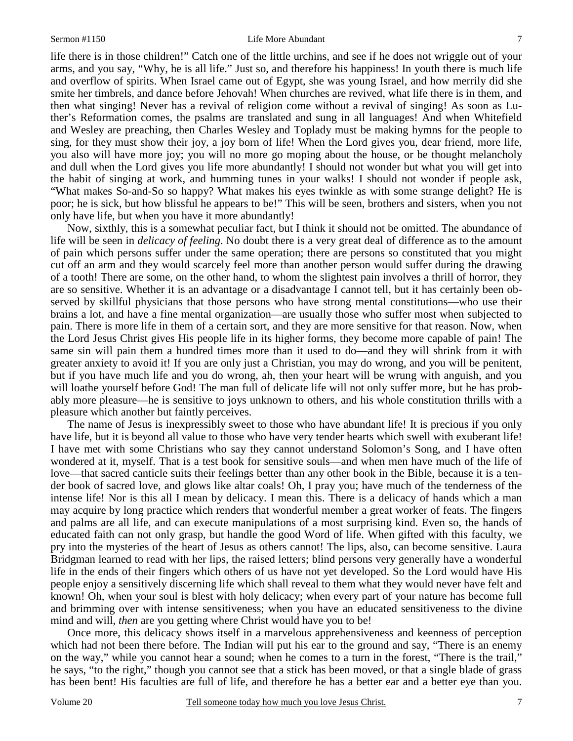life there is in those children!" Catch one of the little urchins, and see if he does not wriggle out of your arms, and you say, "Why, he is all life." Just so, and therefore his happiness! In youth there is much life and overflow of spirits. When Israel came out of Egypt, she was young Israel, and how merrily did she smite her timbrels, and dance before Jehovah! When churches are revived, what life there is in them, and then what singing! Never has a revival of religion come without a revival of singing! As soon as Luther's Reformation comes, the psalms are translated and sung in all languages! And when Whitefield and Wesley are preaching, then Charles Wesley and Toplady must be making hymns for the people to sing, for they must show their joy, a joy born of life! When the Lord gives you, dear friend, more life, you also will have more joy; you will no more go moping about the house, or be thought melancholy and dull when the Lord gives you life more abundantly! I should not wonder but what you will get into the habit of singing at work, and humming tunes in your walks! I should not wonder if people ask, "What makes So-and-So so happy? What makes his eyes twinkle as with some strange delight? He is poor; he is sick, but how blissful he appears to be!" This will be seen, brothers and sisters, when you not only have life, but when you have it more abundantly!

Now, sixthly, this is a somewhat peculiar fact, but I think it should not be omitted. The abundance of life will be seen in *delicacy of feeling*. No doubt there is a very great deal of difference as to the amount of pain which persons suffer under the same operation; there are persons so constituted that you might cut off an arm and they would scarcely feel more than another person would suffer during the drawing of a tooth! There are some, on the other hand, to whom the slightest pain involves a thrill of horror, they are so sensitive. Whether it is an advantage or a disadvantage I cannot tell, but it has certainly been observed by skillful physicians that those persons who have strong mental constitutions—who use their brains a lot, and have a fine mental organization—are usually those who suffer most when subjected to pain. There is more life in them of a certain sort, and they are more sensitive for that reason. Now, when the Lord Jesus Christ gives His people life in its higher forms, they become more capable of pain! The same sin will pain them a hundred times more than it used to do—and they will shrink from it with greater anxiety to avoid it! If you are only just a Christian, you may do wrong, and you will be penitent, but if you have much life and you do wrong, ah, then your heart will be wrung with anguish, and you will loathe yourself before God! The man full of delicate life will not only suffer more, but he has probably more pleasure—he is sensitive to joys unknown to others, and his whole constitution thrills with a pleasure which another but faintly perceives.

The name of Jesus is inexpressibly sweet to those who have abundant life! It is precious if you only have life, but it is beyond all value to those who have very tender hearts which swell with exuberant life! I have met with some Christians who say they cannot understand Solomon's Song, and I have often wondered at it, myself. That is a test book for sensitive souls—and when men have much of the life of love—that sacred canticle suits their feelings better than any other book in the Bible, because it is a tender book of sacred love, and glows like altar coals! Oh, I pray you; have much of the tenderness of the intense life! Nor is this all I mean by delicacy. I mean this. There is a delicacy of hands which a man may acquire by long practice which renders that wonderful member a great worker of feats. The fingers and palms are all life, and can execute manipulations of a most surprising kind. Even so, the hands of educated faith can not only grasp, but handle the good Word of life. When gifted with this faculty, we pry into the mysteries of the heart of Jesus as others cannot! The lips, also, can become sensitive. Laura Bridgman learned to read with her lips, the raised letters; blind persons very generally have a wonderful life in the ends of their fingers which others of us have not yet developed. So the Lord would have His people enjoy a sensitively discerning life which shall reveal to them what they would never have felt and known! Oh, when your soul is blest with holy delicacy; when every part of your nature has become full and brimming over with intense sensitiveness; when you have an educated sensitiveness to the divine mind and will, *then* are you getting where Christ would have you to be!

Once more, this delicacy shows itself in a marvelous apprehensiveness and keenness of perception which had not been there before. The Indian will put his ear to the ground and say, "There is an enemy on the way," while you cannot hear a sound; when he comes to a turn in the forest, "There is the trail," he says, "to the right," though you cannot see that a stick has been moved, or that a single blade of grass has been bent! His faculties are full of life, and therefore he has a better ear and a better eye than you.

7